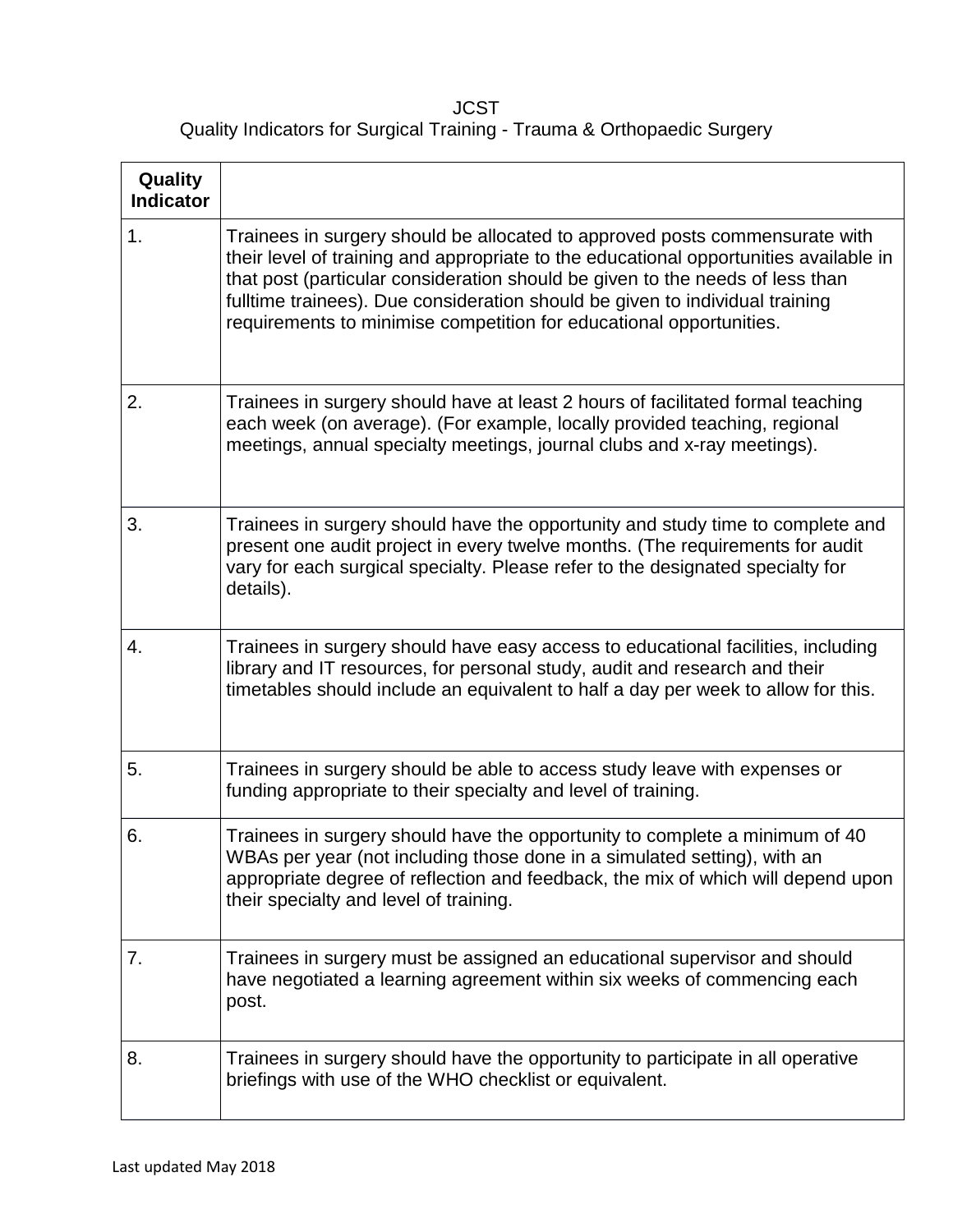**JCST** Quality Indicators for Surgical Training - Trauma & Orthopaedic Surgery

| Quality<br><b>Indicator</b> |                                                                                                                                                                                                                                                                                                                                                                                                              |
|-----------------------------|--------------------------------------------------------------------------------------------------------------------------------------------------------------------------------------------------------------------------------------------------------------------------------------------------------------------------------------------------------------------------------------------------------------|
| 1.                          | Trainees in surgery should be allocated to approved posts commensurate with<br>their level of training and appropriate to the educational opportunities available in<br>that post (particular consideration should be given to the needs of less than<br>fulltime trainees). Due consideration should be given to individual training<br>requirements to minimise competition for educational opportunities. |
| 2.                          | Trainees in surgery should have at least 2 hours of facilitated formal teaching<br>each week (on average). (For example, locally provided teaching, regional<br>meetings, annual specialty meetings, journal clubs and x-ray meetings).                                                                                                                                                                      |
| 3.                          | Trainees in surgery should have the opportunity and study time to complete and<br>present one audit project in every twelve months. (The requirements for audit<br>vary for each surgical specialty. Please refer to the designated specialty for<br>details).                                                                                                                                               |
| 4.                          | Trainees in surgery should have easy access to educational facilities, including<br>library and IT resources, for personal study, audit and research and their<br>timetables should include an equivalent to half a day per week to allow for this.                                                                                                                                                          |
| 5.                          | Trainees in surgery should be able to access study leave with expenses or<br>funding appropriate to their specialty and level of training.                                                                                                                                                                                                                                                                   |
| 6.                          | Trainees in surgery should have the opportunity to complete a minimum of 40<br>WBAs per year (not including those done in a simulated setting), with an<br>appropriate degree of reflection and feedback, the mix of which will depend upon<br>their specialty and level of training.                                                                                                                        |
| 7.                          | Trainees in surgery must be assigned an educational supervisor and should<br>have negotiated a learning agreement within six weeks of commencing each<br>post.                                                                                                                                                                                                                                               |
| 8.                          | Trainees in surgery should have the opportunity to participate in all operative<br>briefings with use of the WHO checklist or equivalent.                                                                                                                                                                                                                                                                    |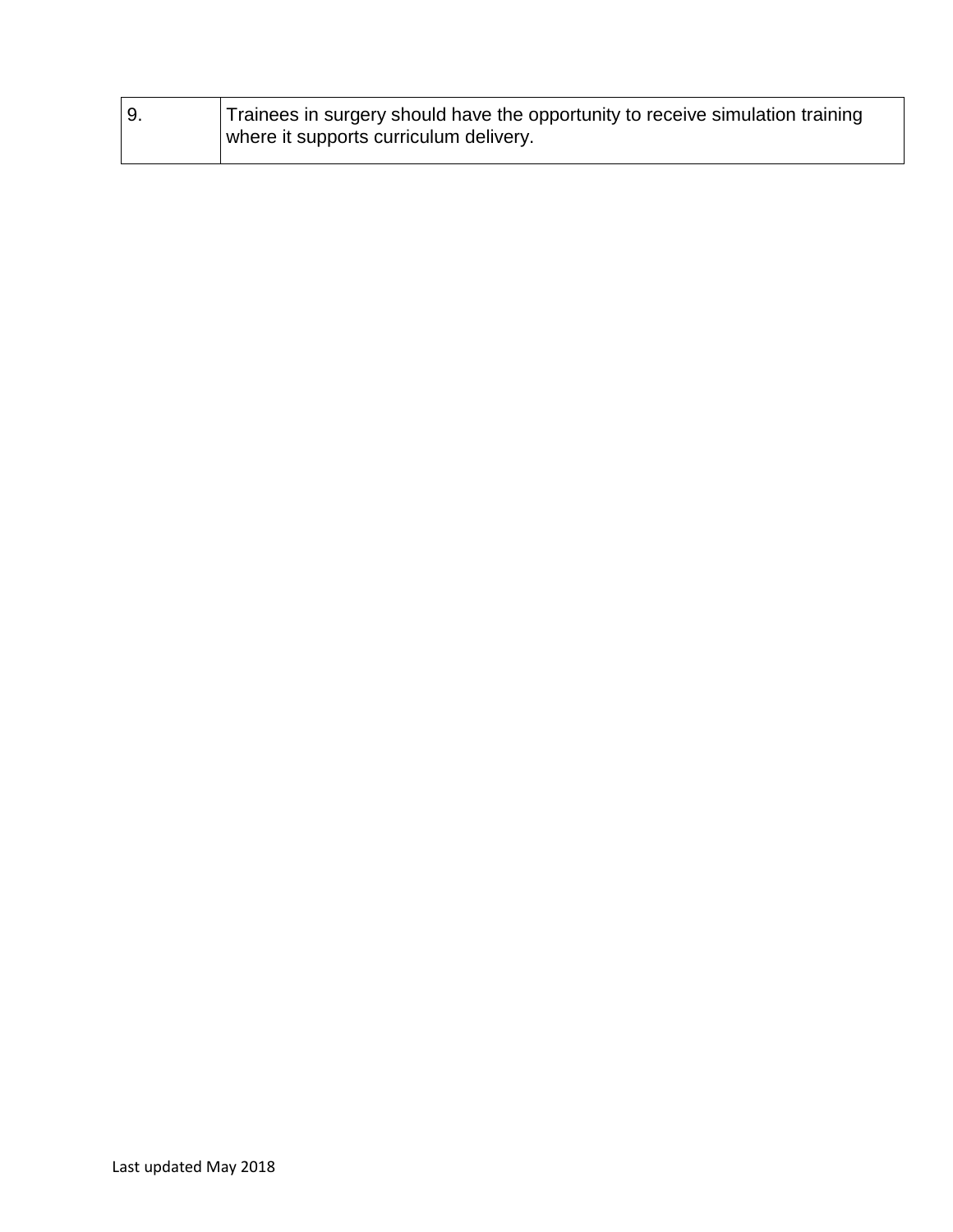| Trainees in surgery should have the opportunity to receive simulation training |
|--------------------------------------------------------------------------------|
| where it supports curriculum delivery.                                         |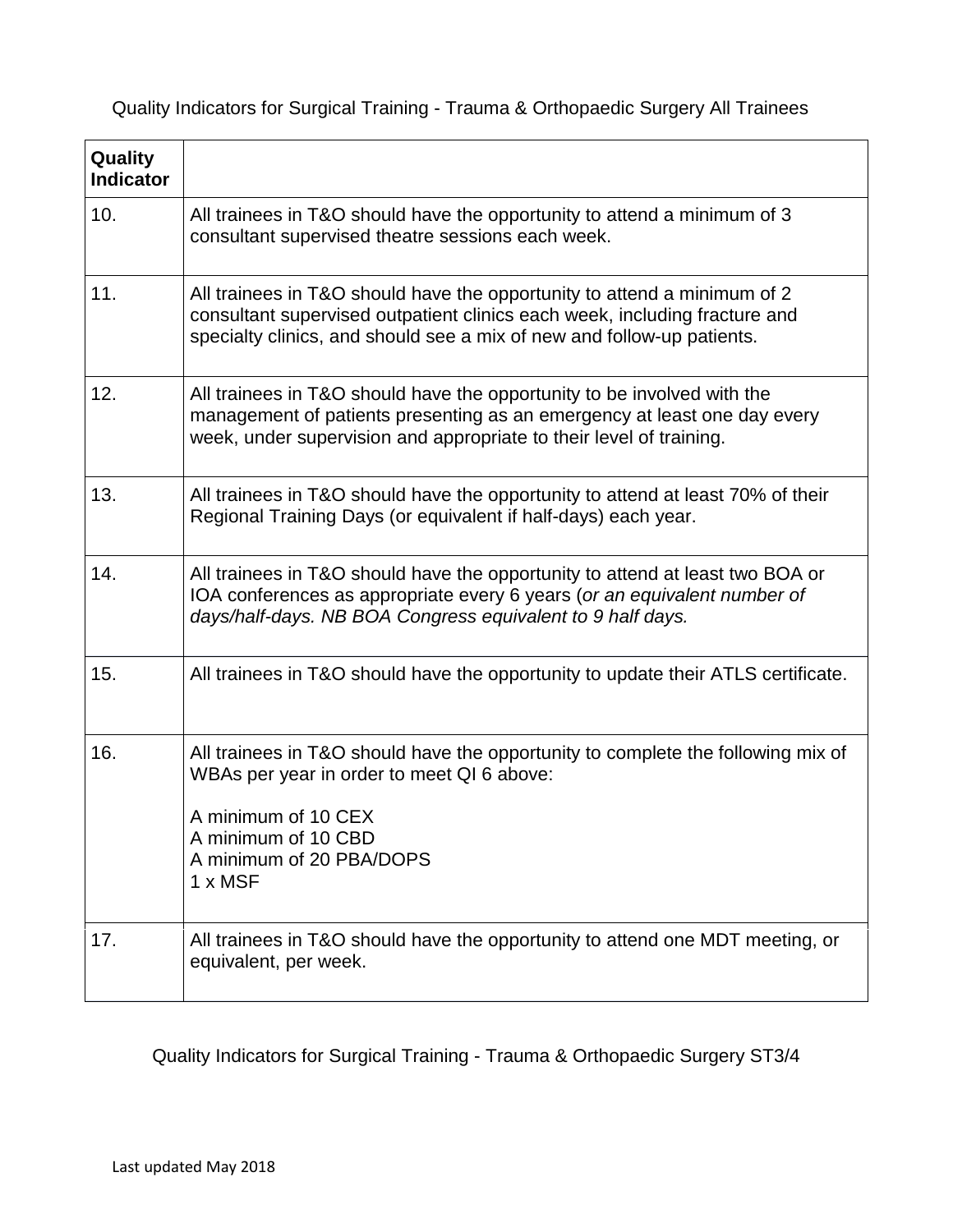Quality Indicators for Surgical Training - Trauma & Orthopaedic Surgery All Trainees

| Quality<br><b>Indicator</b> |                                                                                                                                                                                                                                  |
|-----------------------------|----------------------------------------------------------------------------------------------------------------------------------------------------------------------------------------------------------------------------------|
| 10.                         | All trainees in T&O should have the opportunity to attend a minimum of 3<br>consultant supervised theatre sessions each week.                                                                                                    |
| 11.                         | All trainees in T&O should have the opportunity to attend a minimum of 2<br>consultant supervised outpatient clinics each week, including fracture and<br>specialty clinics, and should see a mix of new and follow-up patients. |
| 12.                         | All trainees in T&O should have the opportunity to be involved with the<br>management of patients presenting as an emergency at least one day every<br>week, under supervision and appropriate to their level of training.       |
| 13.                         | All trainees in T&O should have the opportunity to attend at least 70% of their<br>Regional Training Days (or equivalent if half-days) each year.                                                                                |
| 14.                         | All trainees in T&O should have the opportunity to attend at least two BOA or<br>IOA conferences as appropriate every 6 years (or an equivalent number of<br>days/half-days. NB BOA Congress equivalent to 9 half days.          |
| 15.                         | All trainees in T&O should have the opportunity to update their ATLS certificate.                                                                                                                                                |
| 16.                         | All trainees in T&O should have the opportunity to complete the following mix of<br>WBAs per year in order to meet QI 6 above:<br>A minimum of 10 CEX<br>A minimum of 10 CBD<br>A minimum of 20 PBA/DOPS<br>1 x MSF              |
| 17.                         | All trainees in T&O should have the opportunity to attend one MDT meeting, or<br>equivalent, per week.                                                                                                                           |

Quality Indicators for Surgical Training - Trauma & Orthopaedic Surgery ST3/4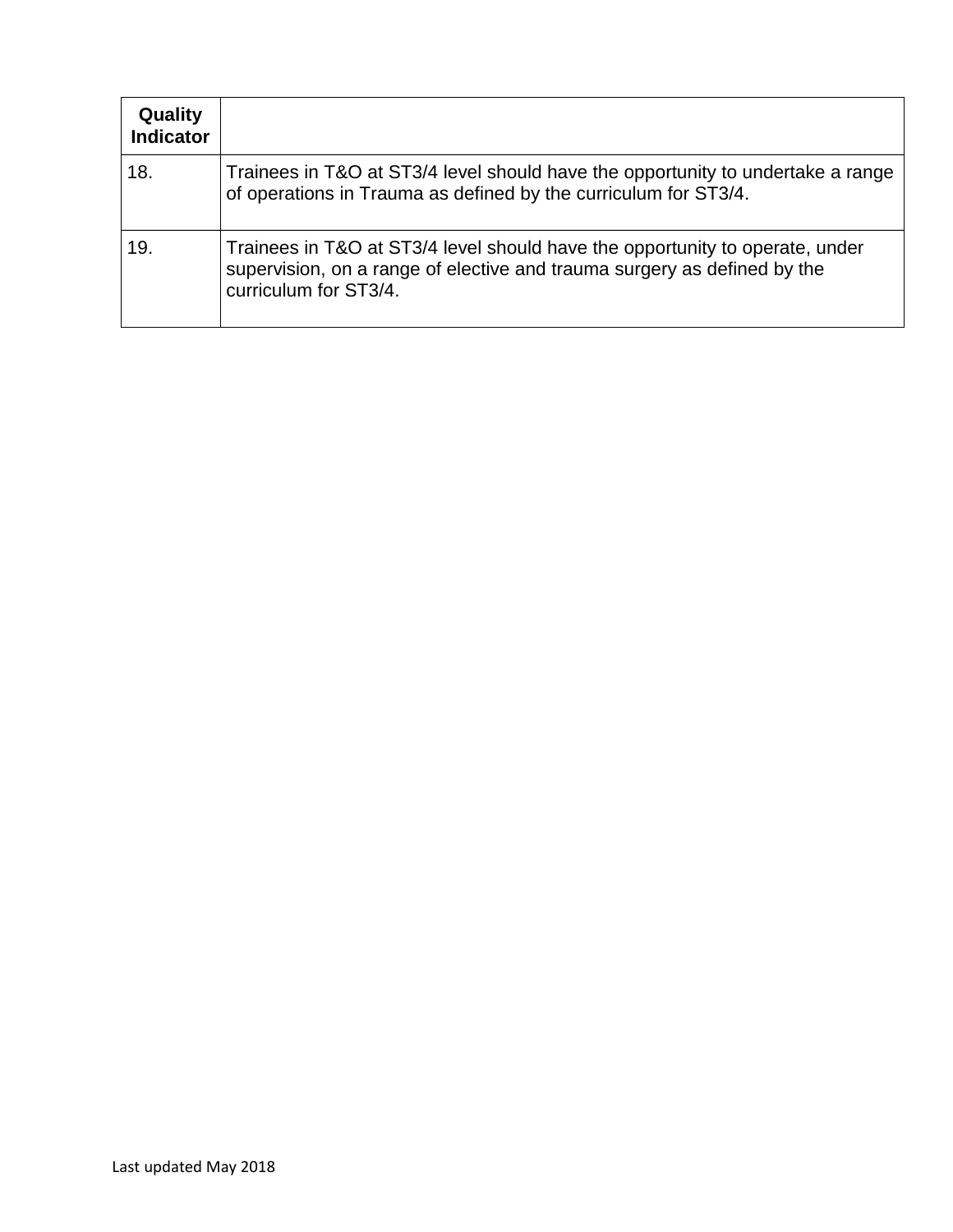| Quality<br><b>Indicator</b> |                                                                                                                                                                                   |
|-----------------------------|-----------------------------------------------------------------------------------------------------------------------------------------------------------------------------------|
| 18.                         | Trainees in T&O at ST3/4 level should have the opportunity to undertake a range<br>of operations in Trauma as defined by the curriculum for ST3/4.                                |
| 19.                         | Trainees in T&O at ST3/4 level should have the opportunity to operate, under<br>supervision, on a range of elective and trauma surgery as defined by the<br>curriculum for ST3/4. |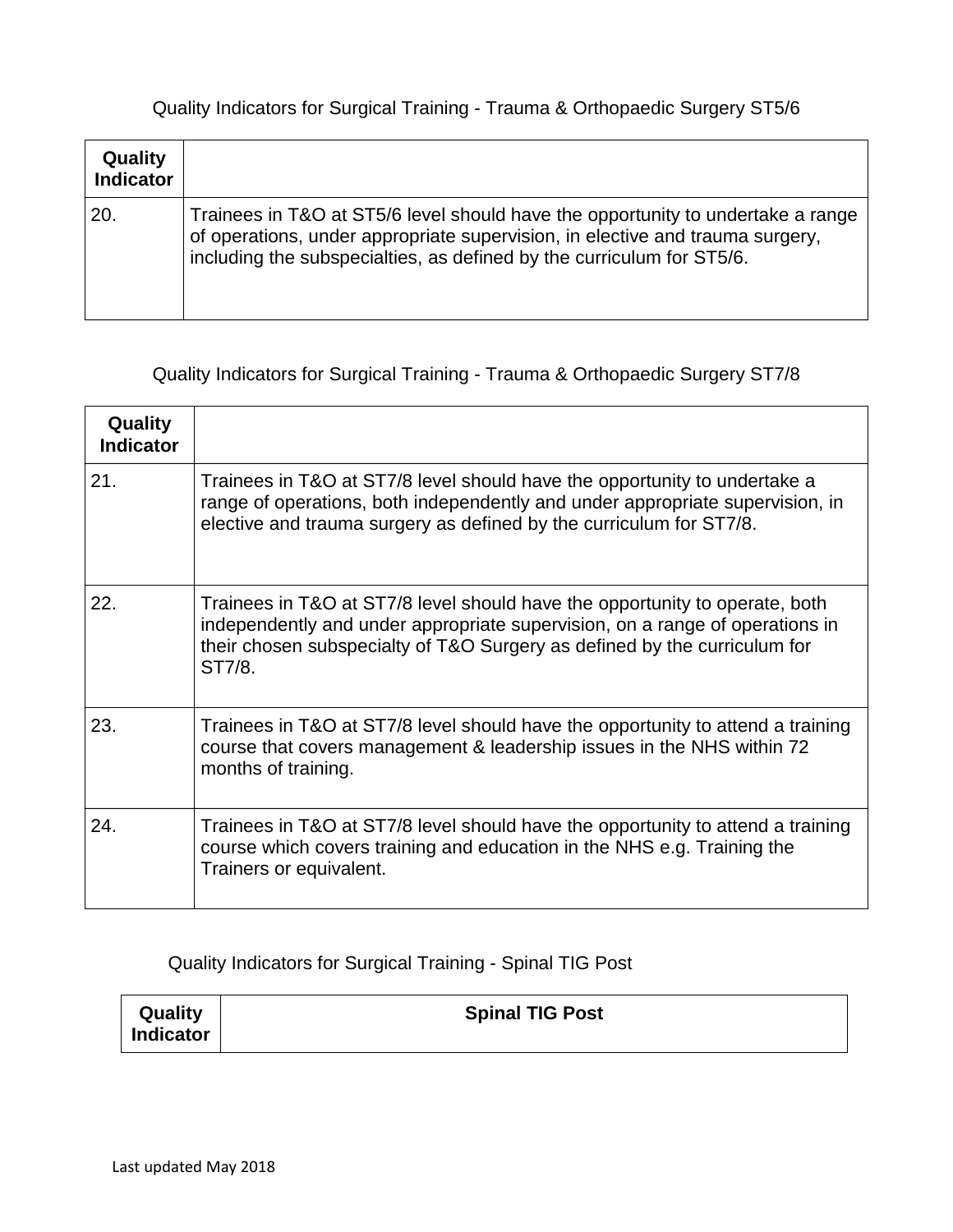## Quality Indicators for Surgical Training - Trauma & Orthopaedic Surgery ST5/6

| Quality<br><b>Indicator</b> |                                                                                                                                                                                                                                           |
|-----------------------------|-------------------------------------------------------------------------------------------------------------------------------------------------------------------------------------------------------------------------------------------|
| 20.                         | Trainees in T&O at ST5/6 level should have the opportunity to undertake a range<br>of operations, under appropriate supervision, in elective and trauma surgery,<br>including the subspecialties, as defined by the curriculum for ST5/6. |

## Quality Indicators for Surgical Training - Trauma & Orthopaedic Surgery ST7/8

| Quality<br><b>Indicator</b> |                                                                                                                                                                                                                                                    |
|-----------------------------|----------------------------------------------------------------------------------------------------------------------------------------------------------------------------------------------------------------------------------------------------|
| 21.                         | Trainees in T&O at ST7/8 level should have the opportunity to undertake a<br>range of operations, both independently and under appropriate supervision, in<br>elective and trauma surgery as defined by the curriculum for ST7/8.                  |
| 22.                         | Trainees in T&O at ST7/8 level should have the opportunity to operate, both<br>independently and under appropriate supervision, on a range of operations in<br>their chosen subspecialty of T&O Surgery as defined by the curriculum for<br>ST7/8. |
| 23.                         | Trainees in T&O at ST7/8 level should have the opportunity to attend a training<br>course that covers management & leadership issues in the NHS within 72<br>months of training.                                                                   |
| 24.                         | Trainees in T&O at ST7/8 level should have the opportunity to attend a training<br>course which covers training and education in the NHS e.g. Training the<br>Trainers or equivalent.                                                              |

Quality Indicators for Surgical Training - Spinal TIG Post

| Quality          | <b>Spinal TIG Post</b> |
|------------------|------------------------|
| <b>Indicator</b> |                        |